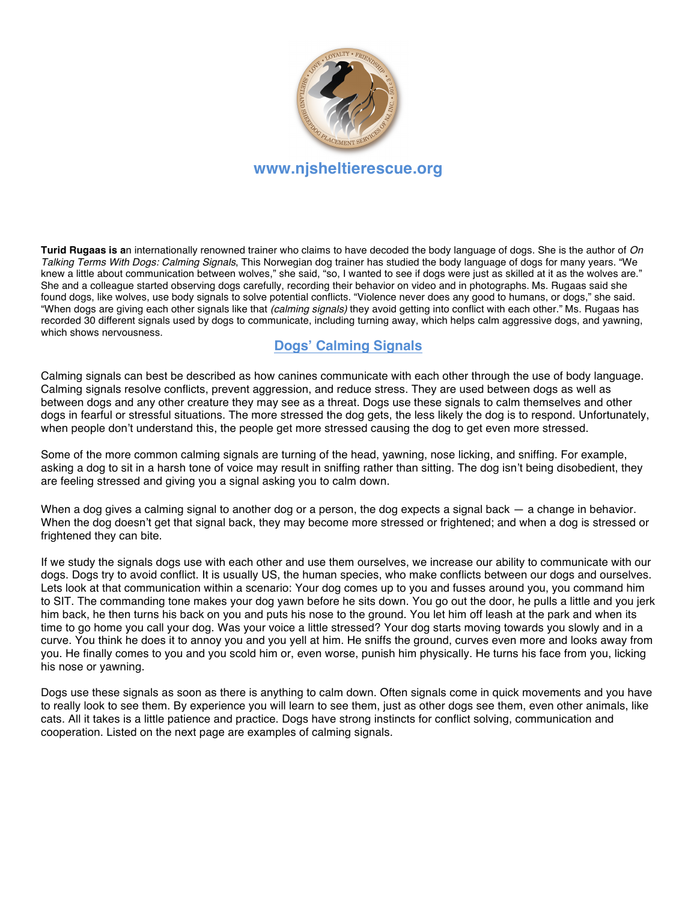

**Turid Rugaas is a**n internationally renowned trainer who claims to have decoded the body language of dogs. She is the author of *On Talking Terms With Dogs: Calming Signals*, This Norwegian dog trainer has studied the body language of dogs for many years. "We knew a little about communication between wolves," she said, "so, I wanted to see if dogs were just as skilled at it as the wolves are." She and a colleague started observing dogs carefully, recording their behavior on video and in photographs. Ms. Rugaas said she found dogs, like wolves, use body signals to solve potential conflicts. "Violence never does any good to humans, or dogs," she said. "When dogs are giving each other signals like that *(calming signals)* they avoid getting into conflict with each other." Ms. Rugaas has recorded 30 different signals used by dogs to communicate, including turning away, which helps calm aggressive dogs, and yawning, which shows nervousness.

## **Dogs' Calming Signals**

Calming signals can best be described as how canines communicate with each other through the use of body language. Calming signals resolve conflicts, prevent aggression, and reduce stress. They are used between dogs as well as between dogs and any other creature they may see as a threat. Dogs use these signals to calm themselves and other dogs in fearful or stressful situations. The more stressed the dog gets, the less likely the dog is to respond. Unfortunately, when people don't understand this, the people get more stressed causing the dog to get even more stressed.

Some of the more common calming signals are turning of the head, yawning, nose licking, and sniffing. For example, asking a dog to sit in a harsh tone of voice may result in sniffing rather than sitting. The dog isn't being disobedient, they are feeling stressed and giving you a signal asking you to calm down.

When a dog gives a calming signal to another dog or a person, the dog expects a signal back — a change in behavior. When the dog doesn't get that signal back, they may become more stressed or frightened; and when a dog is stressed or frightened they can bite.

If we study the signals dogs use with each other and use them ourselves, we increase our ability to communicate with our dogs. Dogs try to avoid conflict. It is usually US, the human species, who make conflicts between our dogs and ourselves. Lets look at that communication within a scenario: Your dog comes up to you and fusses around you, you command him to SIT. The commanding tone makes your dog yawn before he sits down. You go out the door, he pulls a little and you jerk him back, he then turns his back on you and puts his nose to the ground. You let him off leash at the park and when its time to go home you call your dog. Was your voice a little stressed? Your dog starts moving towards you slowly and in a curve. You think he does it to annoy you and you yell at him. He sniffs the ground, curves even more and looks away from you. He finally comes to you and you scold him or, even worse, punish him physically. He turns his face from you, licking his nose or yawning.

Dogs use these signals as soon as there is anything to calm down. Often signals come in quick movements and you have to really look to see them. By experience you will learn to see them, just as other dogs see them, even other animals, like cats. All it takes is a little patience and practice. Dogs have strong instincts for conflict solving, communication and cooperation. Listed on the next page are examples of calming signals.